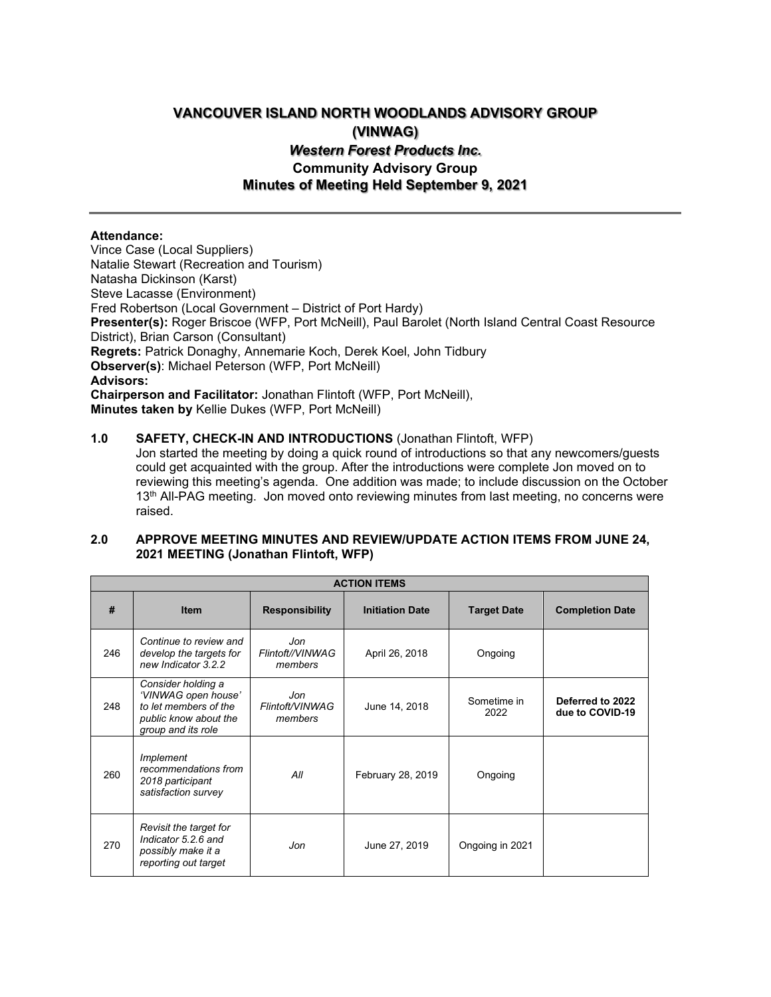# **VANCOUVER ISLAND NORTH WOODLANDS ADVISORY GROUP (VINWAG)** *Western Forest Products Inc.* **Community Advisory Group Minutes of Meeting Held September 9, 2021**

# **Attendance:**

Vince Case (Local Suppliers) Natalie Stewart (Recreation and Tourism) Natasha Dickinson (Karst) Steve Lacasse (Environment) Fred Robertson (Local Government – District of Port Hardy) **Presenter(s):** Roger Briscoe (WFP, Port McNeill), Paul Barolet (North Island Central Coast Resource District), Brian Carson (Consultant) **Regrets:** Patrick Donaghy, Annemarie Koch, Derek Koel, John Tidbury **Observer(s)**: Michael Peterson (WFP, Port McNeill) **Advisors: Chairperson and Facilitator:** Jonathan Flintoft (WFP, Port McNeill), **Minutes taken by** Kellie Dukes (WFP, Port McNeill)

## **1.0 SAFETY, CHECK-IN AND INTRODUCTIONS** (Jonathan Flintoft, WFP)

Jon started the meeting by doing a quick round of introductions so that any newcomers/guests could get acquainted with the group. After the introductions were complete Jon moved on to reviewing this meeting's agenda. One addition was made; to include discussion on the October 13<sup>th</sup> All-PAG meeting. Jon moved onto reviewing minutes from last meeting, no concerns were raised.

# **2.0 APPROVE MEETING MINUTES AND REVIEW/UPDATE ACTION ITEMS FROM JUNE 24, 2021 MEETING (Jonathan Flintoft, WFP)**

| <b>ACTION ITEMS</b> |                                                                                                                   |                                    |                        |                     |                                     |  |  |  |  |
|---------------------|-------------------------------------------------------------------------------------------------------------------|------------------------------------|------------------------|---------------------|-------------------------------------|--|--|--|--|
| #                   | <b>Item</b>                                                                                                       | <b>Responsibility</b>              | <b>Initiation Date</b> | <b>Target Date</b>  | <b>Completion Date</b>              |  |  |  |  |
| 246                 | Continue to review and<br>develop the targets for<br>new Indicator 3.2.2                                          | Jon<br>Flintoft//VINWAG<br>members | April 26, 2018         | Ongoing             |                                     |  |  |  |  |
| 248                 | Consider holding a<br>'VINWAG open house'<br>to let members of the<br>public know about the<br>group and its role | Jon<br>Flintoft/VINWAG<br>members  | June 14, 2018          | Sometime in<br>2022 | Deferred to 2022<br>due to COVID-19 |  |  |  |  |
| 260                 | Implement<br>recommendations from<br>2018 participant<br>satisfaction survey                                      | All                                | February 28, 2019      | Ongoing             |                                     |  |  |  |  |
| 270                 | Revisit the target for<br>Indicator 5.2.6 and<br>possibly make it a<br>reporting out target                       | Jon                                | June 27, 2019          | Ongoing in 2021     |                                     |  |  |  |  |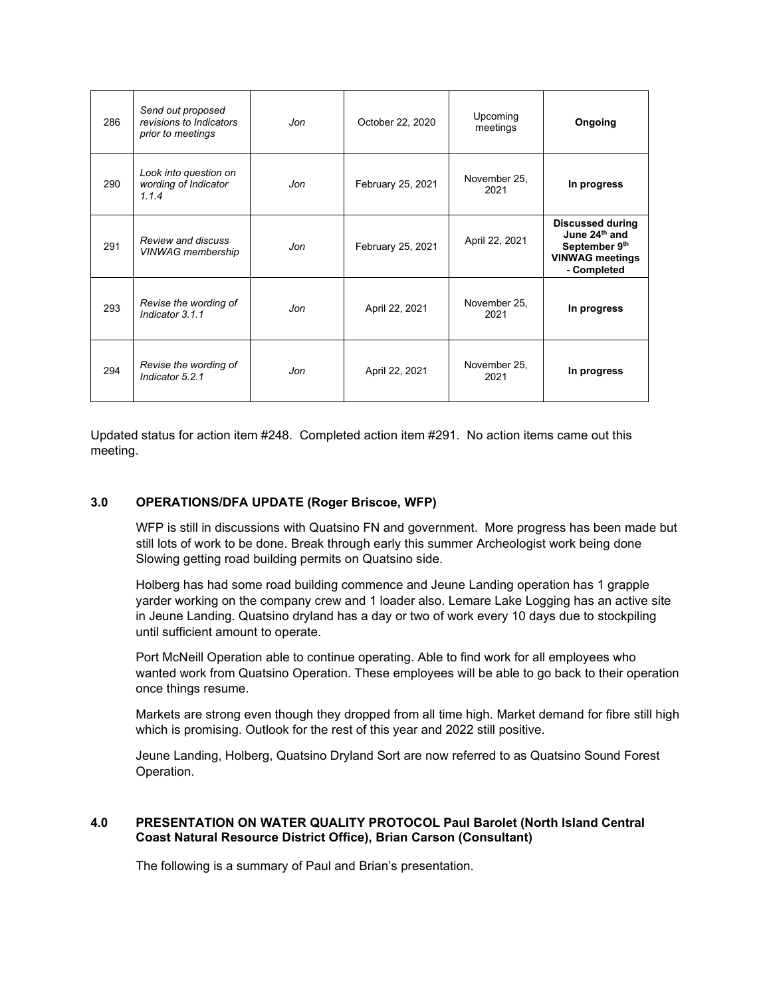| 286 | Send out proposed<br>revisions to Indicators<br>prior to meetings | Jon | October 22, 2020  | Upcoming<br>meetings | Ongoing                                                                                                        |
|-----|-------------------------------------------------------------------|-----|-------------------|----------------------|----------------------------------------------------------------------------------------------------------------|
| 290 | Look into question on<br>wording of Indicator<br>114              | Jon | February 25, 2021 | November 25,<br>2021 | In progress                                                                                                    |
| 291 | Review and discuss<br><b>VINWAG</b> membership                    | Jon | February 25, 2021 | April 22, 2021       | <b>Discussed during</b><br>June 24 <sup>th</sup> and<br>September 9th<br><b>VINWAG meetings</b><br>- Completed |
| 293 | Revise the wording of<br>Indicator 3.1.1                          | Jon | April 22, 2021    | November 25,<br>2021 | In progress                                                                                                    |
| 294 | Revise the wording of<br>Indicator 5.2.1                          | Jon | April 22, 2021    | November 25,<br>2021 | In progress                                                                                                    |

Updated status for action item #248. Completed action item #291. No action items came out this meeting.

# **3.0 OPERATIONS/DFA UPDATE (Roger Briscoe, WFP)**

WFP is still in discussions with Quatsino FN and government. More progress has been made but still lots of work to be done. Break through early this summer Archeologist work being done Slowing getting road building permits on Quatsino side.

Holberg has had some road building commence and Jeune Landing operation has 1 grapple yarder working on the company crew and 1 loader also. Lemare Lake Logging has an active site in Jeune Landing. Quatsino dryland has a day or two of work every 10 days due to stockpiling until sufficient amount to operate.

Port McNeill Operation able to continue operating. Able to find work for all employees who wanted work from Quatsino Operation. These employees will be able to go back to their operation once things resume.

Markets are strong even though they dropped from all time high. Market demand for fibre still high which is promising. Outlook for the rest of this year and 2022 still positive.

Jeune Landing, Holberg, Quatsino Dryland Sort are now referred to as Quatsino Sound Forest Operation.

## **4.0 PRESENTATION ON WATER QUALITY PROTOCOL Paul Barolet (North Island Central Coast Natural Resource District Office), Brian Carson (Consultant)**

The following is a summary of Paul and Brian's presentation.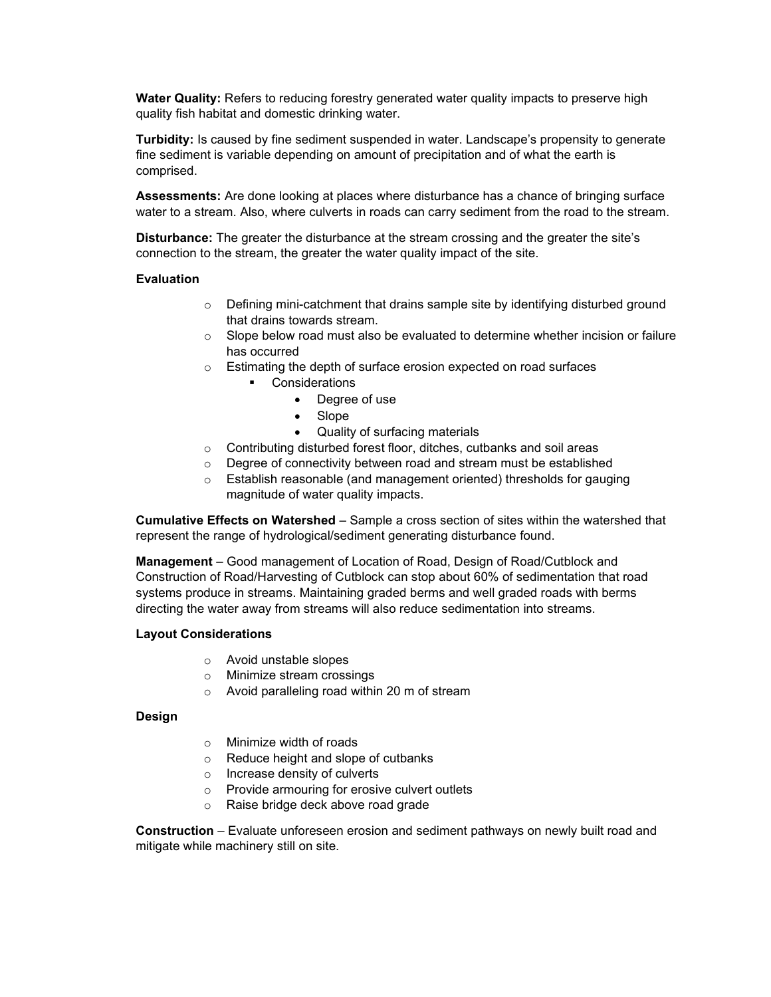**Water Quality:** Refers to reducing forestry generated water quality impacts to preserve high quality fish habitat and domestic drinking water.

**Turbidity:** Is caused by fine sediment suspended in water. Landscape's propensity to generate fine sediment is variable depending on amount of precipitation and of what the earth is comprised.

**Assessments:** Are done looking at places where disturbance has a chance of bringing surface water to a stream. Also, where culverts in roads can carry sediment from the road to the stream.

**Disturbance:** The greater the disturbance at the stream crossing and the greater the site's connection to the stream, the greater the water quality impact of the site.

## **Evaluation**

- o Defining mini-catchment that drains sample site by identifying disturbed ground that drains towards stream.
- $\circ$  Slope below road must also be evaluated to determine whether incision or failure has occurred
- o Estimating the depth of surface erosion expected on road surfaces
	- Considerations
		- Degree of use
		- Slope
		- Quality of surfacing materials
- o Contributing disturbed forest floor, ditches, cutbanks and soil areas
- o Degree of connectivity between road and stream must be established
- o Establish reasonable (and management oriented) thresholds for gauging magnitude of water quality impacts.

**Cumulative Effects on Watershed** – Sample a cross section of sites within the watershed that represent the range of hydrological/sediment generating disturbance found.

**Management** – Good management of Location of Road, Design of Road/Cutblock and Construction of Road/Harvesting of Cutblock can stop about 60% of sedimentation that road systems produce in streams. Maintaining graded berms and well graded roads with berms directing the water away from streams will also reduce sedimentation into streams.

## **Layout Considerations**

- o Avoid unstable slopes
- o Minimize stream crossings
- o Avoid paralleling road within 20 m of stream

## **Design**

- o Minimize width of roads
- o Reduce height and slope of cutbanks
- o Increase density of culverts
- o Provide armouring for erosive culvert outlets
- o Raise bridge deck above road grade

**Construction** – Evaluate unforeseen erosion and sediment pathways on newly built road and mitigate while machinery still on site.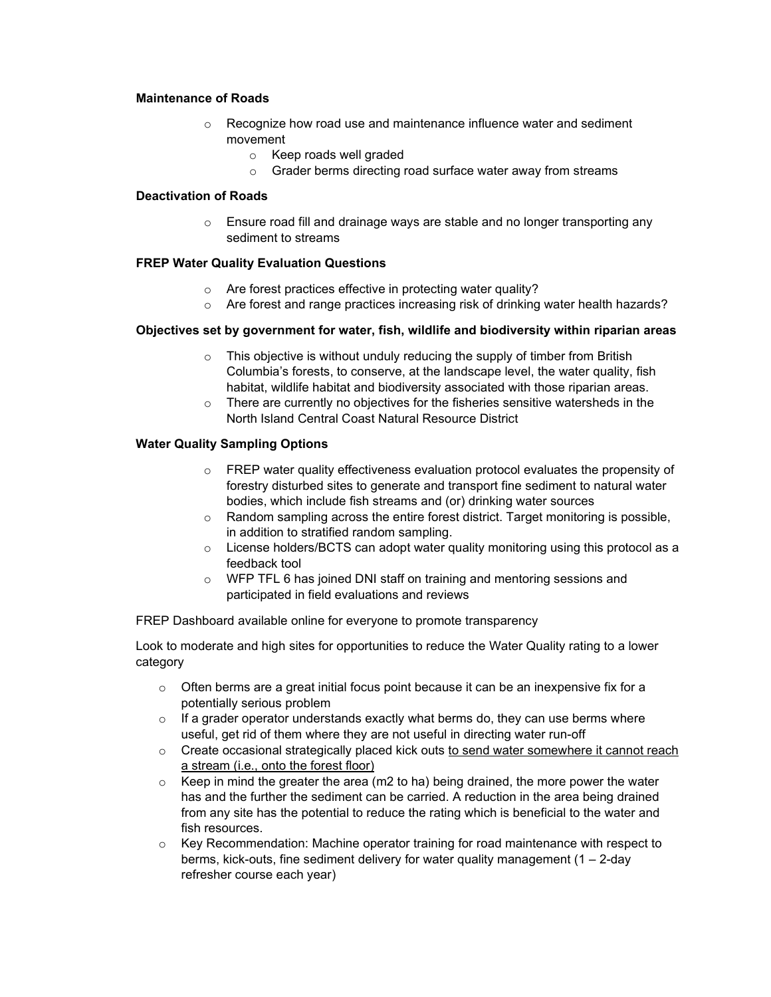## **Maintenance of Roads**

- o Recognize how road use and maintenance influence water and sediment movement
	- o Keep roads well graded
	- o Grader berms directing road surface water away from streams

## **Deactivation of Roads**

 $\circ$  Ensure road fill and drainage ways are stable and no longer transporting any sediment to streams

## **FREP Water Quality Evaluation Questions**

- o Are forest practices effective in protecting water quality?
- o Are forest and range practices increasing risk of drinking water health hazards?

## **Objectives set by government for water, fish, wildlife and biodiversity within riparian areas**

- $\circ$  This objective is without unduly reducing the supply of timber from British Columbia's forests, to conserve, at the landscape level, the water quality, fish habitat, wildlife habitat and biodiversity associated with those riparian areas.
- $\circ$  There are currently no objectives for the fisheries sensitive watersheds in the North Island Central Coast Natural Resource District

## **Water Quality Sampling Options**

- o FREP water quality effectiveness evaluation protocol evaluates the propensity of forestry disturbed sites to generate and transport fine sediment to natural water bodies, which include fish streams and (or) drinking water sources
- $\circ$  Random sampling across the entire forest district. Target monitoring is possible, in addition to stratified random sampling.
- $\circ$  License holders/BCTS can adopt water quality monitoring using this protocol as a feedback tool
- o WFP TFL 6 has joined DNI staff on training and mentoring sessions and participated in field evaluations and reviews

FREP Dashboard available online for everyone to promote transparency

Look to moderate and high sites for opportunities to reduce the Water Quality rating to a lower category

- $\circ$  Often berms are a great initial focus point because it can be an inexpensive fix for a potentially serious problem
- $\circ$  If a grader operator understands exactly what berms do, they can use berms where useful, get rid of them where they are not useful in directing water run-off
- $\circ$  Create occasional strategically placed kick outs to send water somewhere it cannot reach a stream (i.e., onto the forest floor)
- $\circ$  Keep in mind the greater the area (m2 to ha) being drained, the more power the water has and the further the sediment can be carried. A reduction in the area being drained from any site has the potential to reduce the rating which is beneficial to the water and fish resources.
- $\circ$  Key Recommendation: Machine operator training for road maintenance with respect to berms, kick-outs, fine sediment delivery for water quality management  $(1 - 2$ -day refresher course each year)